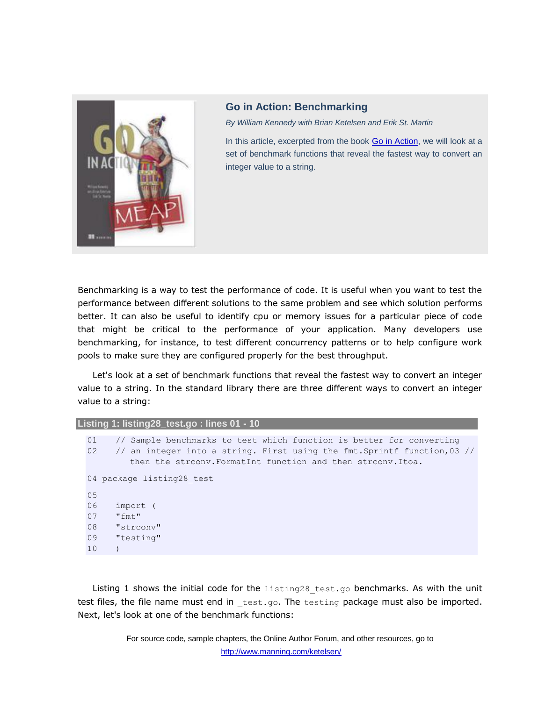

## **Go in Action: Benchmarking**

*By William Kennedy with Brian Ketelsen and Erik St. Martin*

In this article, excerpted from the book [Go in Action,](http://www.manning.com/ketelsen/) we will look at a set of benchmark functions that reveal the fastest way to convert an integer value to a string.

Benchmarking is a way to test the performance of code. It is useful when you want to test the performance between different solutions to the same problem and see which solution performs better. It can also be useful to identify cpu or memory issues for a particular piece of code that might be critical to the performance of your application. Many developers use benchmarking, for instance, to test different concurrency patterns or to help configure work pools to make sure they are configured properly for the best throughput.

Let's look at a set of benchmark functions that reveal the fastest way to convert an integer value to a string. In the standard library there are three different ways to convert an integer value to a string:

## **Listing 1: listing28\_test.go : lines 01 - 10**

```
01 // Sample benchmarks to test which function is better for converting
02 // an integer into a string. First using the fmt. Sprintf function, 03 //
        then the strconv.FormatInt function and then strconv.Itoa.
04 package listing28 test
05
06 import (
07 "fmt"
08 "strconv"
09 "testing"
10
```
Listing 1 shows the initial code for the  $listing28$  test.go benchmarks. As with the unit test files, the file name must end in test.go. The testing package must also be imported. Next, let's look at one of the benchmark functions: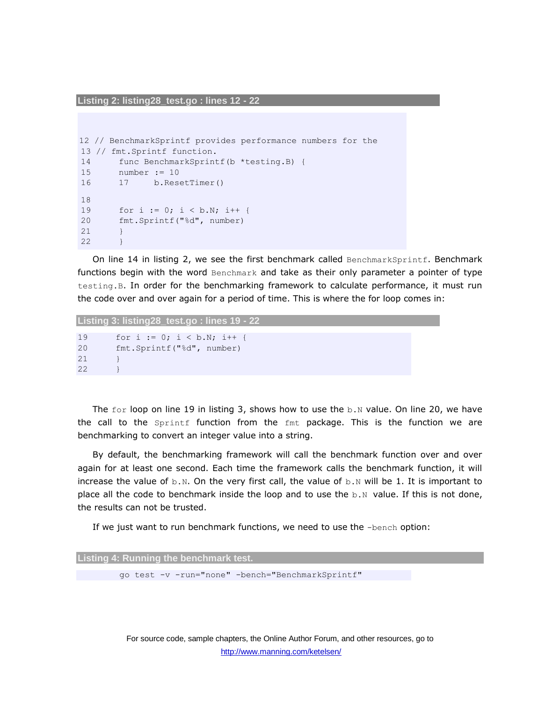**Listing 2: listing28\_test.go : lines 12 - 22**

```
12 // BenchmarkSprintf provides performance numbers for the 
13 // fmt.Sprintf function.
14 func BenchmarkSprintf(b *testing.B) {
15 number := 10
16 17 b.ResetTimer()
18
19 for i := 0; i < b.N; i++ {
20 fmt.Sprintf("%d", number)
21 }
22 }
```
On line 14 in listing 2, we see the first benchmark called BenchmarkSprintf. Benchmark functions begin with the word Benchmark and take as their only parameter a pointer of type testing.B. In order for the benchmarking framework to calculate performance, it must run the code over and over again for a period of time. This is where the for loop comes in:

```
Listing 3: listing28_test.go : lines 19 - 22
19 for i := 0; i < b.N; i++ {
20 fmt.Sprintf("%d", number)
21 }
22 }
```
The  $for$  loop on line 19 in listing 3, shows how to use the  $b \cdot N$  value. On line 20, we have the call to the Sprintf function from the fmt package. This is the function we are benchmarking to convert an integer value into a string.

By default, the benchmarking framework will call the benchmark function over and over again for at least one second. Each time the framework calls the benchmark function, it will increase the value of  $b.N.$  On the very first call, the value of  $b.N$  will be 1. It is important to place all the code to benchmark inside the loop and to use the  $b \cdot N$  value. If this is not done, the results can not be trusted.

If we just want to run benchmark functions, we need to use the -bench option:

| Listing 4: Running the benchmark test. |  |  |  |  |                                                  |  |
|----------------------------------------|--|--|--|--|--------------------------------------------------|--|
|                                        |  |  |  |  |                                                  |  |
|                                        |  |  |  |  | qo test -v -run="none" -bench="BenchmarkSprintf" |  |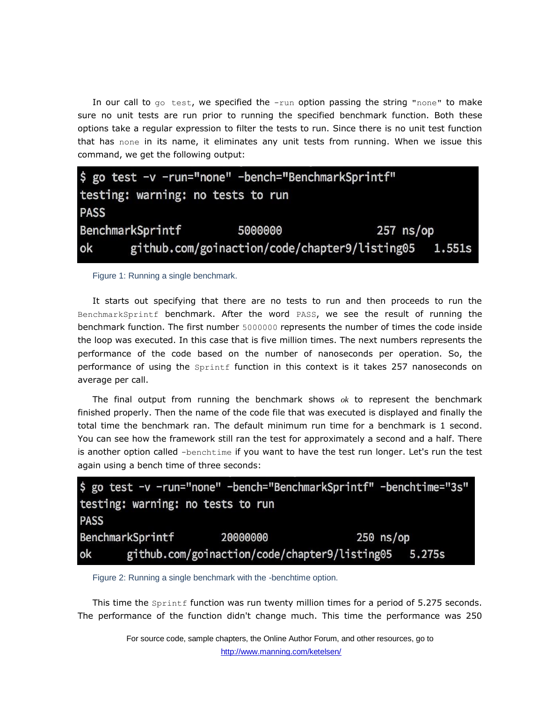In our call to  $q\circ$  test, we specified the  $-run$  option passing the string "none" to make sure no unit tests are run prior to running the specified benchmark function. Both these options take a regular expression to filter the tests to run. Since there is no unit test function that has none in its name, it eliminates any unit tests from running. When we issue this command, we get the following output:

|                                   |                  | \$ go test -v -run="none" -bench="BenchmarkSprintf" |             |               |  |  |
|-----------------------------------|------------------|-----------------------------------------------------|-------------|---------------|--|--|
| testing: warning: no tests to run |                  |                                                     |             |               |  |  |
| <b>PASS</b>                       |                  |                                                     |             |               |  |  |
|                                   | BenchmarkSprintf | 5000000                                             | $257$ ns/op |               |  |  |
| ok                                |                  | github.com/goinaction/code/chapter9/listing05       |             | <b>1.551s</b> |  |  |

## Figure 1: Running a single benchmark.

It starts out specifying that there are no tests to run and then proceeds to run the BenchmarkSprintf benchmark. After the word PASS, we see the result of running the benchmark function. The first number 5000000 represents the number of times the code inside the loop was executed. In this case that is five million times. The next numbers represents the performance of the code based on the number of nanoseconds per operation. So, the performance of using the *Sprintf* function in this context is it takes 257 nanoseconds on average per call.

The final output from running the benchmark shows *ok* to represent the benchmark finished properly. Then the name of the code file that was executed is displayed and finally the total time the benchmark ran. The default minimum run time for a benchmark is 1 second. You can see how the framework still ran the test for approximately a second and a half. There is another option called -benchtime if you want to have the test run longer. Let's run the test again using a bench time of three seconds:



Figure 2: Running a single benchmark with the -benchtime option.

This time the Sprintf function was run twenty million times for a period of 5.275 seconds. The performance of the function didn't change much. This time the performance was 250

> For source code, sample chapters, the Online Author Forum, and other resources, go to http://www.manning.com/ketelsen/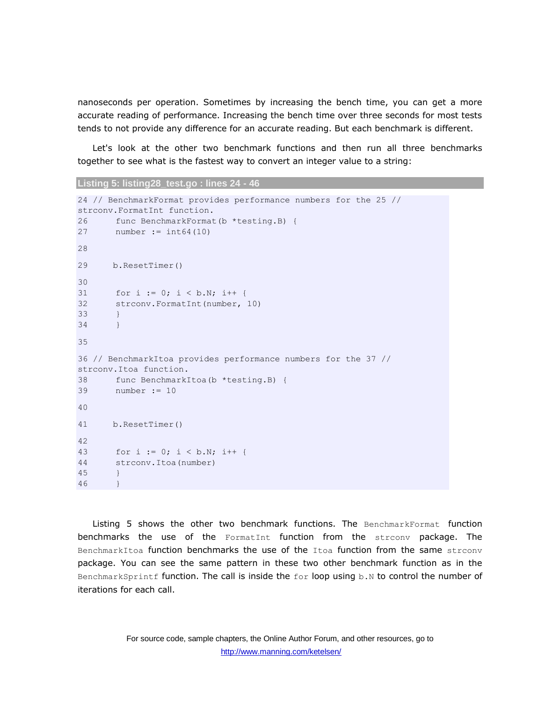nanoseconds per operation. Sometimes by increasing the bench time, you can get a more accurate reading of performance. Increasing the bench time over three seconds for most tests tends to not provide any difference for an accurate reading. But each benchmark is different.

Let's look at the other two benchmark functions and then run all three benchmarks together to see what is the fastest way to convert an integer value to a string:

```
Listing 5: listing28_test.go : lines 24 - 46
```

```
24 // BenchmarkFormat provides performance numbers for the 25 // 
strconv.FormatInt function.
26 func BenchmarkFormat(b *testing.B) {
27 number := int64(10)
28
29 b.ResetTimer()
30
31 for i := 0; i < b.N; i++ {
32 strconv.FormatInt(number, 10)
33 }
34 }
35
36 // BenchmarkItoa provides performance numbers for the 37 // 
strconv.Itoa function.
38 func BenchmarkItoa(b *testing.B) {
39 number := 10
40
41 b.ResetTimer()
42
43 for i := 0; i < b.N; i++ {
44 strconv.Itoa(number)
45 }
46 }
```
Listing 5 shows the other two benchmark functions. The BenchmarkFormat function benchmarks the use of the FormatInt function from the strconv package. The BenchmarkItoa function benchmarks the use of the Itoa function from the same strconv package. You can see the same pattern in these two other benchmark function as in the BenchmarkSprintf function. The call is inside the for loop using b.N to control the number of iterations for each call.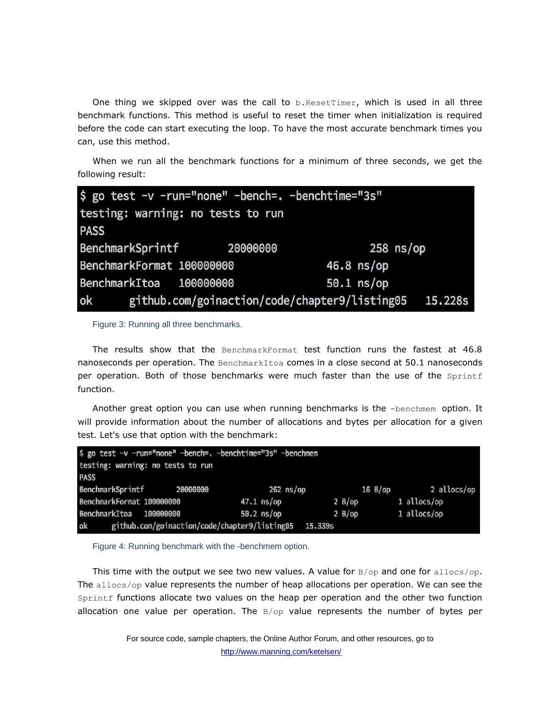One thing we skipped over was the call to  $b$ . ResetTimer, which is used in all three benchmark functions. This method is useful to reset the timer when initialization is required before the code can start executing the loop. To have the most accurate benchmark times you can, use this method.

When we run all the benchmark functions for a minimum of three seconds, we get the following result:

| \$ go test -v -run="none" -bench=. -benchtime="3s" |  |                                               |             |  |  |  |
|----------------------------------------------------|--|-----------------------------------------------|-------------|--|--|--|
| testing: warning: no tests to run                  |  |                                               |             |  |  |  |
| <b>PASS</b>                                        |  |                                               |             |  |  |  |
| BenchmarkSprintf 20000000                          |  |                                               | $258$ ns/op |  |  |  |
| BenchmarkFormat 100000000                          |  | $46.8$ ns/op                                  |             |  |  |  |
| BenchmarkItoa 100000000                            |  | $50.1$ ns/op                                  |             |  |  |  |
| ok                                                 |  | github.com/goinaction/code/chapter9/listing05 | 15.228s     |  |  |  |

Figure 3: Running all three benchmarks.

The results show that the BenchmarkFormat test function runs the fastest at 46.8 nanoseconds per operation. The BenchmarkItoa comes in a close second at  $50.1$  nanoseconds per operation. Both of those benchmarks were much faster than the use of the Sprintf function.

Another great option you can use when running benchmarks is the -benchmem option. It will provide information about the number of allocations and bytes per allocation for a given test. Let's use that option with the benchmark:

| \$ go test -v -run="none" -bench=. -benchtime="3s" -benchmem |              |            |             |  |  |  |  |
|--------------------------------------------------------------|--------------|------------|-------------|--|--|--|--|
| testing: warning: no tests to run                            |              |            |             |  |  |  |  |
| <b>PASS</b>                                                  |              |            |             |  |  |  |  |
| BenchmarkSprintf<br>20000000                                 | $262$ ns/op  | $16 B$ /op | 2 allocs/op |  |  |  |  |
| BenchmarkFormat 100000000                                    | $47.1$ ns/op | 2 B/op     | 1 allocs/op |  |  |  |  |
| BenchmarkItoa<br>100000000                                   | $50.2$ ns/op | 2 B(op     | 1 allocs/op |  |  |  |  |
| ok<br>github.com/goinaction/code/chapter9/listing05          | 15.339s      |            |             |  |  |  |  |

Figure 4: Running benchmark with the -benchmem option.

This time with the output we see two new values. A value for  $B/\text{op}$  and one for allocs/op. The allocs/op value represents the number of heap allocations per operation. We can see the Sprintf functions allocate two values on the heap per operation and the other two function allocation one value per operation. The  $B/\text{op}$  value represents the number of bytes per